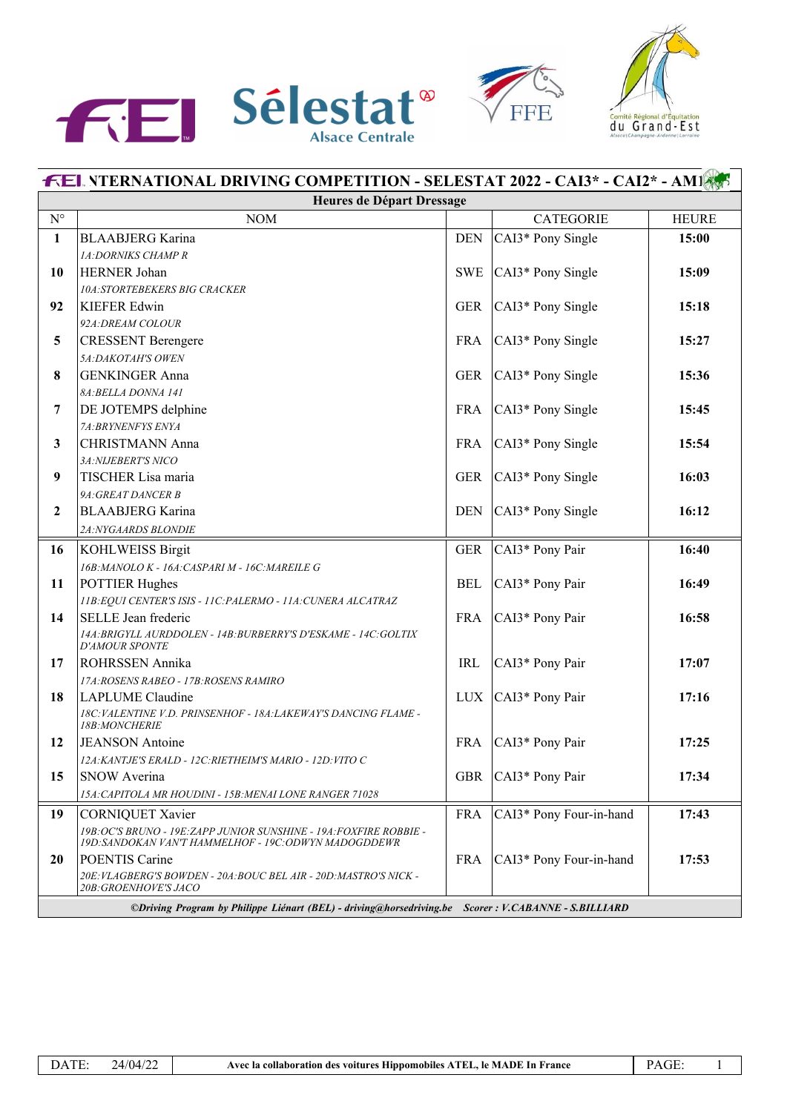





| <b>FEL NTERNATIONAL DRIVING COMPETITION - SELESTAT 2022 - CAI3* - CAI2* - AM18.5</b>                   |                                                                                                                           |            |                          |              |
|--------------------------------------------------------------------------------------------------------|---------------------------------------------------------------------------------------------------------------------------|------------|--------------------------|--------------|
| Heures de Départ Dressage                                                                              |                                                                                                                           |            |                          |              |
| $\mathbf{N}^{\circ}$                                                                                   | <b>NOM</b>                                                                                                                |            | <b>CATEGORIE</b>         | <b>HEURE</b> |
| $\mathbf{1}$                                                                                           | <b>BLAABJERG</b> Karina                                                                                                   | <b>DEN</b> | CAI3* Pony Single        | 15:00        |
|                                                                                                        | 1A:DORNIKS CHAMP R                                                                                                        |            |                          |              |
| 10                                                                                                     | <b>HERNER Johan</b>                                                                                                       |            | SWE $ CAI3*$ Pony Single | 15:09        |
|                                                                                                        | <b>10A:STORTEBEKERS BIG CRACKER</b>                                                                                       |            |                          |              |
| 92                                                                                                     | <b>KIEFER Edwin</b>                                                                                                       | <b>GER</b> | CAI3* Pony Single        | 15:18        |
|                                                                                                        | 92A: DREAM COLOUR                                                                                                         |            |                          |              |
| 5                                                                                                      | <b>CRESSENT</b> Berengere                                                                                                 | <b>FRA</b> | CAI3* Pony Single        | 15:27        |
|                                                                                                        | 5A:DAKOTAH'S OWEN                                                                                                         |            |                          |              |
| 8                                                                                                      | <b>GENKINGER Anna</b>                                                                                                     | <b>GER</b> | CAI3* Pony Single        | 15:36        |
|                                                                                                        | 8A: BELLA DONNA 141                                                                                                       |            |                          |              |
| 7                                                                                                      | <b>DE JOTEMPS</b> delphine                                                                                                | FRA        | CAI3* Pony Single        | 15:45        |
|                                                                                                        | 7A:BRYNENFYS ENYA                                                                                                         |            |                          |              |
| 3                                                                                                      | <b>CHRISTMANN Anna</b>                                                                                                    | <b>FRA</b> | CAI3* Pony Single        | 15:54        |
|                                                                                                        | 3A:NIJEBERT'S NICO                                                                                                        |            |                          |              |
| 9                                                                                                      | TISCHER Lisa maria                                                                                                        | <b>GER</b> | CAI3* Pony Single        | 16:03        |
|                                                                                                        | 9A: GREAT DANCER B                                                                                                        |            |                          |              |
| $\mathbf{2}$                                                                                           | <b>BLAABJERG</b> Karina                                                                                                   | <b>DEN</b> | CAI3* Pony Single        | 16:12        |
|                                                                                                        | 2A:NYGAARDS BLONDIE                                                                                                       |            |                          |              |
| 16                                                                                                     | <b>KOHLWEISS Birgit</b>                                                                                                   | <b>GER</b> | CAI3* Pony Pair          | 16:40        |
|                                                                                                        | 16B: MANOLO K - 16A: CASPARI M - 16C: MAREILE G                                                                           |            |                          |              |
| 11                                                                                                     | <b>POTTIER Hughes</b>                                                                                                     | <b>BEL</b> | CAI3* Pony Pair          | 16:49        |
|                                                                                                        | 11B: EQUI CENTER'S ISIS - 11C: PALERMO - 11A: CUNERA ALCATRAZ                                                             |            |                          |              |
| 14                                                                                                     | <b>SELLE</b> Jean frederic                                                                                                | <b>FRA</b> | CAI3* Pony Pair          | 16:58        |
|                                                                                                        | 14A: BRIGYLL AURDDOLEN - 14B: BURBERRY'S D'ESKAME - 14C: GOLTIX<br><b>D'AMOUR SPONTE</b>                                  |            |                          |              |
| 17                                                                                                     | <b>ROHRSSEN Annika</b>                                                                                                    | <b>IRL</b> | CAI3* Pony Pair          | 17:07        |
|                                                                                                        | 17A: ROSENS RABEO - 17B: ROSENS RAMIRO                                                                                    |            |                          |              |
| 18                                                                                                     | LAPLUME Claudine                                                                                                          |            | LUX $ CAI3*$ Pony Pair   | 17:16        |
|                                                                                                        | 18C: VALENTINE V.D. PRINSENHOF - 18A: LAKEWAY'S DANCING FLAME -<br>18B:MONCHERIE                                          |            |                          |              |
| 12                                                                                                     | <b>JEANSON</b> Antoine                                                                                                    | FRA        | CAI3* Pony Pair          | 17:25        |
|                                                                                                        | 12A: KANTJE'S ERALD - 12C: RIETHEIM'S MARIO - 12D: VITO C                                                                 |            |                          |              |
| 15                                                                                                     | <b>SNOW Averina</b>                                                                                                       | <b>GBR</b> | CAI3* Pony Pair          | 17:34        |
|                                                                                                        | 15A: CAPITOLA MR HOUDINI - 15B: MENAI LONE RANGER 71028                                                                   |            |                          |              |
| 19                                                                                                     | <b>CORNIQUET Xavier</b>                                                                                                   | <b>FRA</b> | CAI3* Pony Four-in-hand  | 17:43        |
|                                                                                                        | 19B:OC'S BRUNO - 19E:ZAPP JUNIOR SUNSHINE - 19A:FOXFIRE ROBBIE -<br>19D: SANDOKAN VAN'T HAMMELHOF - 19C: ODWYN MADOGDDEWR |            |                          |              |
| 20                                                                                                     | POENTIS Carine                                                                                                            | FRA        | CAI3* Pony Four-in-hand  | 17:53        |
|                                                                                                        | 20E: VLAGBERG'S BOWDEN - 20A: BOUC BEL AIR - 20D: MASTRO'S NICK -<br><i><b>20B: GROENHOVE'S JACO</b></i>                  |            |                          |              |
| ©Driving Program by Philippe Liénart (BEL) - driving@horsedriving.be<br>Scorer: V.CABANNE - S.BILLIARD |                                                                                                                           |            |                          |              |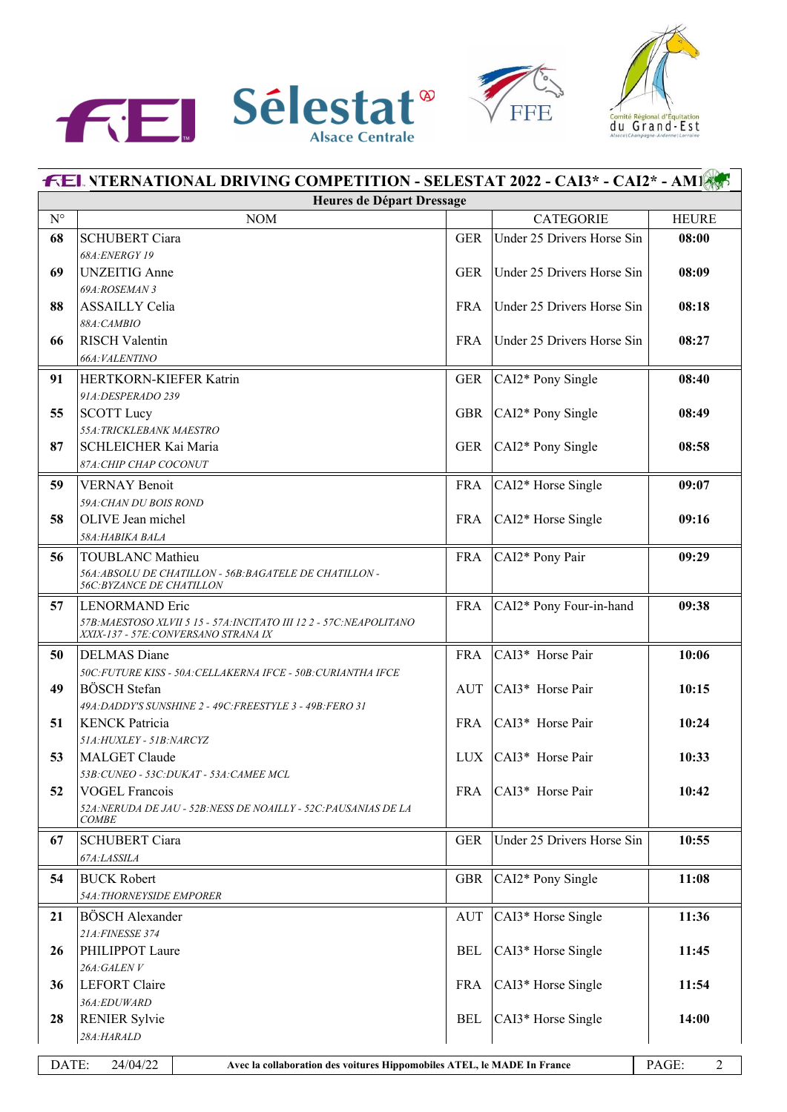





| <b>FEL NTERNATIONAL DRIVING COMPETITION - SELESTAT 2022 - CAI3* - CAI2* - AM1895</b> |                                                                                                                         |             |                            |              |  |
|--------------------------------------------------------------------------------------|-------------------------------------------------------------------------------------------------------------------------|-------------|----------------------------|--------------|--|
|                                                                                      | Heures de Départ Dressage                                                                                               |             |                            |              |  |
| $N^{\circ}$                                                                          | $\rm{NOM}$                                                                                                              |             | <b>CATEGORIE</b>           | <b>HEURE</b> |  |
| 68                                                                                   | <b>SCHUBERT Ciara</b>                                                                                                   | <b>GER</b>  | Under 25 Drivers Horse Sin | 08:00        |  |
|                                                                                      | 68A: ENERGY 19                                                                                                          |             |                            |              |  |
| 69                                                                                   | <b>UNZEITIG</b> Anne                                                                                                    | <b>GER</b>  | Under 25 Drivers Horse Sin | 08:09        |  |
|                                                                                      | 69A:ROSEMAN 3                                                                                                           |             |                            |              |  |
| 88                                                                                   | <b>ASSAILLY Celia</b>                                                                                                   | <b>FRA</b>  | Under 25 Drivers Horse Sin | 08:18        |  |
|                                                                                      | 88A:CAMBIO                                                                                                              |             |                            |              |  |
| 66                                                                                   | <b>RISCH Valentin</b>                                                                                                   | <b>FRA</b>  | Under 25 Drivers Horse Sin | 08:27        |  |
|                                                                                      | 66A: VALENTINO                                                                                                          |             |                            |              |  |
| 91                                                                                   | HERTKORN-KIEFER Katrin                                                                                                  | <b>GER</b>  | CAI2* Pony Single          | 08:40        |  |
|                                                                                      | 91A:DESPERADO 239                                                                                                       |             |                            |              |  |
| 55                                                                                   | <b>SCOTT Lucy</b>                                                                                                       | <b>GBR</b>  | CAI2* Pony Single          | 08:49        |  |
|                                                                                      | 55A: TRICKLEBANK MAESTRO                                                                                                |             |                            |              |  |
| 87                                                                                   | SCHLEICHER Kai Maria                                                                                                    | <b>GER</b>  | CAI2* Pony Single          | 08:58        |  |
|                                                                                      | 87A: CHIP CHAP COCONUT                                                                                                  |             |                            |              |  |
| 59                                                                                   | <b>VERNAY Benoit</b>                                                                                                    | ${\rm FRA}$ | CAI2* Horse Single         | 09:07        |  |
|                                                                                      | 59A: CHAN DU BOIS ROND                                                                                                  |             |                            |              |  |
| 58                                                                                   | OLIVE Jean michel                                                                                                       | <b>FRA</b>  | CAI2* Horse Single         | 09:16        |  |
|                                                                                      | 58A:HABIKA BALA                                                                                                         |             |                            |              |  |
| 56                                                                                   | <b>TOUBLANC Mathieu</b>                                                                                                 | <b>FRA</b>  | CAI2* Pony Pair            | 09:29        |  |
|                                                                                      | 56A: ABSOLU DE CHATILLON - 56B: BAGATELE DE CHATILLON -                                                                 |             |                            |              |  |
|                                                                                      | <b>56C: BYZANCE DE CHATILLON</b>                                                                                        |             |                            |              |  |
| 57                                                                                   | <b>LENORMAND Eric</b>                                                                                                   | <b>FRA</b>  | CAI2* Pony Four-in-hand    | 09:38        |  |
|                                                                                      | 57B: MAESTOSO XLVII 5 15 - 57A: INCITATO III 122 - 57C: NEAPOLITANO<br>XXIX-137 - 57E: CONVERSANO STRANA IX             |             |                            |              |  |
|                                                                                      |                                                                                                                         |             |                            |              |  |
| 50                                                                                   | <b>DELMAS</b> Diane                                                                                                     | <b>FRA</b>  | CAI3* Horse Pair           | 10:06        |  |
|                                                                                      | 50C: FUTURE KISS - 50A: CELLAKERNA IFCE - 50B: CURIANTHA IFCE                                                           |             |                            |              |  |
| 49                                                                                   | <b>BÖSCH</b> Stefan                                                                                                     | AUT         | CAI3* Horse Pair           | 10:15        |  |
|                                                                                      | 49A:DADDY'S SUNSHINE 2 - 49C:FREESTYLE 3 - 49B:FERO 31                                                                  |             | CAI3* Horse Pair           |              |  |
| 51                                                                                   | <b>KENCK Patricia</b><br>51A: HUXLEY - 51B: NARCYZ                                                                      | <b>FRA</b>  |                            | 10:24        |  |
| 53                                                                                   | <b>MALGET Claude</b>                                                                                                    |             | LUX $ CAI3*$ Horse Pair    | 10:33        |  |
|                                                                                      | 53B: CUNEO - 53C: DUKAT - 53A: CAMEE MCL                                                                                |             |                            |              |  |
| 52                                                                                   | <b>VOGEL Francois</b>                                                                                                   | <b>FRA</b>  | CAI3* Horse Pair           | 10:42        |  |
|                                                                                      | 52A: NERUDA DE JAU - 52B: NESS DE NOAILLY - 52C: PAUSANIAS DE LA                                                        |             |                            |              |  |
|                                                                                      | <b>COMBE</b>                                                                                                            |             |                            |              |  |
| 67                                                                                   | <b>SCHUBERT Ciara</b>                                                                                                   | <b>GER</b>  | Under 25 Drivers Horse Sin | 10:55        |  |
|                                                                                      | 67A:LASSILA                                                                                                             |             |                            |              |  |
| 54                                                                                   | <b>BUCK Robert</b>                                                                                                      | <b>GBR</b>  | CAI2* Pony Single          | 11:08        |  |
|                                                                                      | 54A: THORNEYSIDE EMPORER                                                                                                |             |                            |              |  |
| 21                                                                                   | <b>BÖSCH</b> Alexander                                                                                                  | <b>AUT</b>  | CAI3* Horse Single         | 11:36        |  |
|                                                                                      | 21A:FINESSE 374                                                                                                         |             |                            |              |  |
| 26                                                                                   | PHILIPPOT Laure                                                                                                         | <b>BEL</b>  | CAI3* Horse Single         | 11:45        |  |
|                                                                                      | 26A:GALENV                                                                                                              |             |                            |              |  |
| 36                                                                                   | <b>LEFORT Claire</b>                                                                                                    | <b>FRA</b>  | CAI3* Horse Single         | 11:54        |  |
|                                                                                      | 36A:EDUWARD                                                                                                             |             |                            |              |  |
| 28                                                                                   | <b>RENIER Sylvie</b>                                                                                                    | <b>BEL</b>  | CAI3* Horse Single         | 14:00        |  |
|                                                                                      | 28A:HARALD                                                                                                              |             |                            |              |  |
|                                                                                      |                                                                                                                         |             |                            |              |  |
|                                                                                      | DATE:<br>24/04/22<br>PAGE:<br>$\overline{2}$<br>Avec la collaboration des voitures Hippomobiles ATEL, le MADE In France |             |                            |              |  |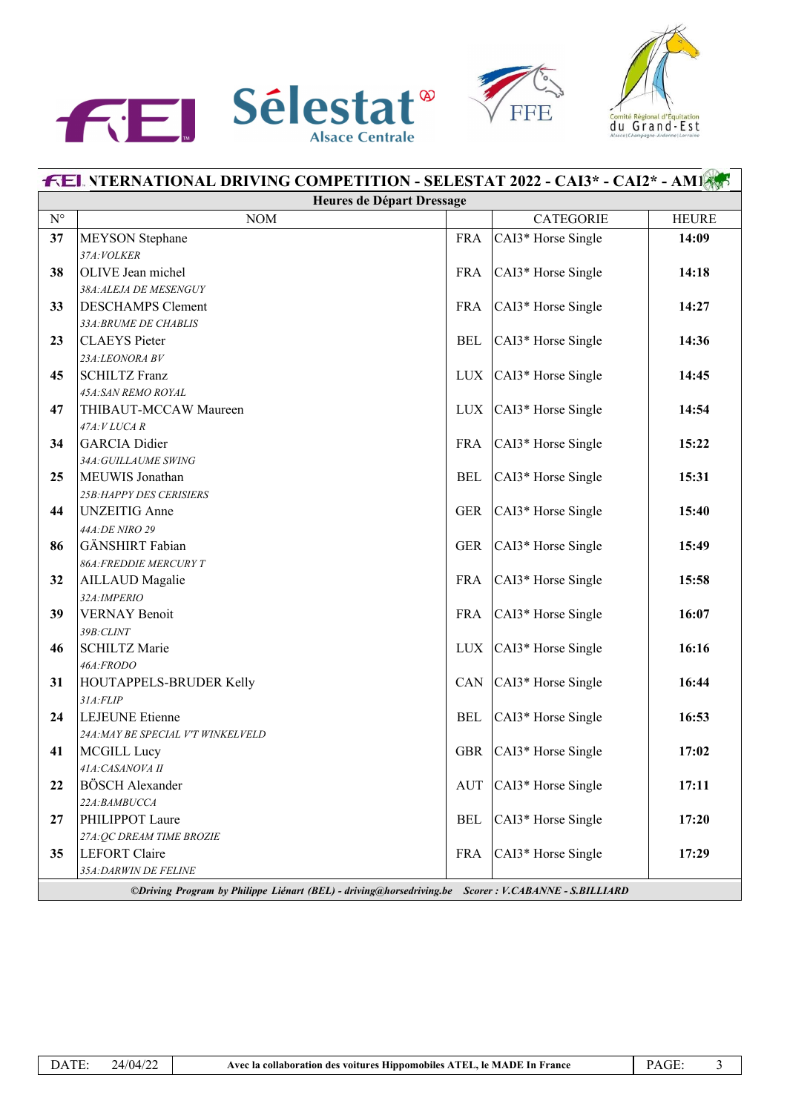





|                                                                                                      | <b>FEL NTERNATIONAL DRIVING COMPETITION - SELESTAT 2022 - CAI3* - CAI2* - AMI</b> |            |                          |              |
|------------------------------------------------------------------------------------------------------|-----------------------------------------------------------------------------------|------------|--------------------------|--------------|
|                                                                                                      | Heures de Départ Dressage                                                         |            |                          |              |
| $\mathrm{N}^\circ$                                                                                   | $\rm{NOM}$                                                                        |            | <b>CATEGORIE</b>         | <b>HEURE</b> |
| 37                                                                                                   | <b>MEYSON</b> Stephane                                                            | <b>FRA</b> | CAI3* Horse Single       | 14:09        |
|                                                                                                      | 37A: VOLKER                                                                       |            |                          |              |
| 38                                                                                                   | OLIVE Jean michel                                                                 | <b>FRA</b> | CAI3* Horse Single       | 14:18        |
|                                                                                                      | 38A:ALEJA DE MESENGUY                                                             |            |                          |              |
| 33                                                                                                   | <b>DESCHAMPS Clement</b>                                                          | <b>FRA</b> | CAI3* Horse Single       | 14:27        |
|                                                                                                      | 33A: BRUME DE CHABLIS                                                             |            |                          |              |
| 23                                                                                                   | <b>CLAEYS</b> Pieter                                                              | <b>BEL</b> | CAI3* Horse Single       | 14:36        |
|                                                                                                      | 23A:LEONORA BV                                                                    |            |                          |              |
| 45                                                                                                   | <b>SCHILTZ Franz</b>                                                              | LUX        | CAI3* Horse Single       | 14:45        |
|                                                                                                      | 45A:SAN REMO ROYAL                                                                |            |                          |              |
| 47                                                                                                   | THIBAUT-MCCAW Maureen                                                             | LUX        | CAI3* Horse Single       | 14:54        |
|                                                                                                      | 47A:VLUCA R                                                                       |            |                          |              |
| 34                                                                                                   | <b>GARCIA</b> Didier                                                              | <b>FRA</b> | CAI3* Horse Single       | 15:22        |
|                                                                                                      | 34A: GUILLAUME SWING                                                              |            |                          |              |
| 25                                                                                                   | MEUWIS Jonathan                                                                   | <b>BEL</b> | CAI3* Horse Single       | 15:31        |
| 44                                                                                                   | <b>25B: HAPPY DES CERISIERS</b><br><b>UNZEITIG</b> Anne                           |            |                          | 15:40        |
|                                                                                                      |                                                                                   | <b>GER</b> | CAI3* Horse Single       |              |
| 86                                                                                                   | 44A:DE NIRO 29<br>GÄNSHIRT Fabian                                                 | <b>GER</b> | CAI3* Horse Single       | 15:49        |
|                                                                                                      | <b>86A:FREDDIE MERCURY T</b>                                                      |            |                          |              |
| 32                                                                                                   | <b>AILLAUD</b> Magalie                                                            | FRA        | CAI3* Horse Single       | 15:58        |
|                                                                                                      | 32A: IMPERIO                                                                      |            |                          |              |
| 39                                                                                                   | <b>VERNAY Benoit</b>                                                              | <b>FRA</b> | CAI3* Horse Single       | 16:07        |
|                                                                                                      | 39B:CLINT                                                                         |            |                          |              |
| 46                                                                                                   | <b>SCHILTZ Marie</b>                                                              | LUX        | CAI3* Horse Single       | 16:16        |
|                                                                                                      | 46A:FRODO                                                                         |            |                          |              |
| 31                                                                                                   | HOUTAPPELS-BRUDER Kelly                                                           | CAN        | CAI3* Horse Single       | 16:44        |
|                                                                                                      | 31A:FLIP                                                                          |            |                          |              |
| 24                                                                                                   | <b>LEJEUNE</b> Etienne                                                            | <b>BEL</b> | CAI3* Horse Single       | 16:53        |
|                                                                                                      | 24A: MAY BE SPECIAL V'T WINKELVELD                                                |            |                          |              |
| 41                                                                                                   | <b>MCGILL Lucy</b>                                                                |            | GBR   CAI3* Horse Single | 17:02        |
|                                                                                                      | 41A: CASANOVA II                                                                  |            |                          |              |
| 22                                                                                                   | <b>BÖSCH</b> Alexander                                                            | AUT        | CAI3* Horse Single       | 17:11        |
|                                                                                                      | 22A:BAMBUCCA                                                                      |            |                          |              |
| 27                                                                                                   | PHILIPPOT Laure                                                                   | <b>BEL</b> | CAI3* Horse Single       | 17:20        |
|                                                                                                      | 27A: QC DREAM TIME BROZIE                                                         |            |                          |              |
| 35                                                                                                   | LEFORT Claire                                                                     | <b>FRA</b> | CAI3* Horse Single       | 17:29        |
| 35A: DARWIN DE FELINE                                                                                |                                                                                   |            |                          |              |
| ©Driving Program by Philippe Liénart (BEL) - driving@horsedriving.be Scorer : V.CABANNE - S.BILLIARD |                                                                                   |            |                          |              |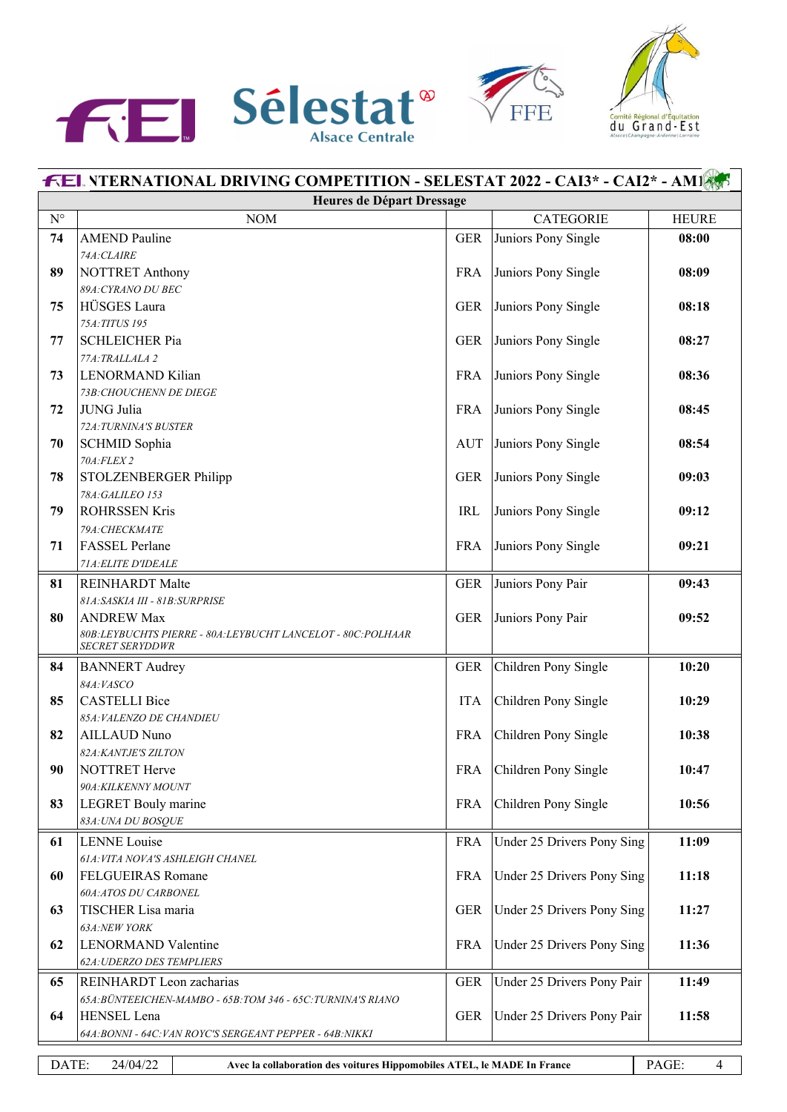





| <b>FEL NTERNATIONAL DRIVING COMPETITION - SELESTAT 2022 - CAI3* - CAI2* - AM18</b>                         |                                                                             |            |                            |              |
|------------------------------------------------------------------------------------------------------------|-----------------------------------------------------------------------------|------------|----------------------------|--------------|
| Heures de Départ Dressage                                                                                  |                                                                             |            |                            |              |
| $\mathrm{N}^\circ$                                                                                         | <b>NOM</b>                                                                  |            | <b>CATEGORIE</b>           | <b>HEURE</b> |
| 74                                                                                                         | <b>AMEND Pauline</b>                                                        | <b>GER</b> | Juniors Pony Single        | 08:00        |
|                                                                                                            | 74A:CLAIRE                                                                  |            |                            |              |
| 89                                                                                                         | <b>NOTTRET Anthony</b>                                                      | <b>FRA</b> | Juniors Pony Single        | 08:09        |
|                                                                                                            | 89A: CYRANO DU BEC                                                          |            |                            |              |
| 75                                                                                                         | HÜSGES Laura                                                                | <b>GER</b> | Juniors Pony Single        | 08:18        |
|                                                                                                            | 75A: TITUS 195                                                              |            |                            |              |
| 77                                                                                                         | <b>SCHLEICHER Pia</b>                                                       | <b>GER</b> | Juniors Pony Single        | 08:27        |
|                                                                                                            | 77A:TRALLALA 2                                                              |            |                            |              |
| 73                                                                                                         | LENORMAND Kilian                                                            | <b>FRA</b> | Juniors Pony Single        | 08:36        |
|                                                                                                            | 73B: CHOUCHENN DE DIEGE                                                     |            |                            |              |
| 72                                                                                                         | JUNG Julia                                                                  | <b>FRA</b> | Juniors Pony Single        | 08:45        |
|                                                                                                            | 72A: TURNINA'S BUSTER                                                       |            |                            |              |
| 70                                                                                                         | SCHMID Sophia<br>70A:FLEX 2                                                 | <b>AUT</b> | Juniors Pony Single        | 08:54        |
| 78                                                                                                         | STOLZENBERGER Philipp                                                       | <b>GER</b> | Juniors Pony Single        | 09:03        |
|                                                                                                            | 78A:GALILEO 153                                                             |            |                            |              |
| 79                                                                                                         | <b>ROHRSSEN Kris</b>                                                        | <b>IRL</b> | Juniors Pony Single        | 09:12        |
|                                                                                                            | 79A: CHECKMATE                                                              |            |                            |              |
| 71                                                                                                         | <b>FASSEL</b> Perlane                                                       | <b>FRA</b> | Juniors Pony Single        | 09:21        |
|                                                                                                            | 71A: ELITE D'IDEALE                                                         |            |                            |              |
| 81                                                                                                         | <b>REINHARDT</b> Malte                                                      | <b>GER</b> | Juniors Pony Pair          | 09:43        |
|                                                                                                            | 81A:SASKIA III - 81B:SURPRISE                                               |            |                            |              |
| 80                                                                                                         | <b>ANDREW Max</b>                                                           | <b>GER</b> | Juniors Pony Pair          | 09:52        |
|                                                                                                            | 80B:LEYBUCHTS PIERRE - 80A:LEYBUCHT LANCELOT - 80C:POLHAAR                  |            |                            |              |
|                                                                                                            | <b>SECRET SERYDDWR</b>                                                      |            |                            |              |
| 84                                                                                                         | <b>BANNERT</b> Audrey                                                       | <b>GER</b> | Children Pony Single       | 10:20        |
|                                                                                                            | 84A:VASCO                                                                   |            |                            |              |
| 85                                                                                                         | <b>CASTELLI Bice</b>                                                        | <b>ITA</b> | Children Pony Single       | 10:29        |
|                                                                                                            | 85A: VALENZO DE CHANDIEU                                                    |            |                            |              |
| 82                                                                                                         | <b>AILLAUD Nuno</b>                                                         | <b>FRA</b> | Children Pony Single       | 10:38        |
|                                                                                                            | <b>82A:KANTJE'S ZILTON</b>                                                  |            |                            |              |
| 90                                                                                                         | NOTTRET Herve                                                               | <b>FRA</b> | Children Pony Single       | 10:47        |
|                                                                                                            | 90A: KILKENNY MOUNT                                                         |            |                            |              |
| 83                                                                                                         | LEGRET Bouly marine                                                         | <b>FRA</b> | Children Pony Single       | 10:56        |
|                                                                                                            | 83A: UNA DU BOSQUE                                                          |            |                            |              |
| 61                                                                                                         | <b>LENNE</b> Louise                                                         | <b>FRA</b> | Under 25 Drivers Pony Sing | 11:09        |
|                                                                                                            | 61A: VITA NOVA'S ASHLEIGH CHANEL                                            |            |                            |              |
| 60                                                                                                         | FELGUEIRAS Romane                                                           | <b>FRA</b> | Under 25 Drivers Pony Sing | 11:18        |
|                                                                                                            | <b>60A:ATOS DU CARBONEL</b>                                                 |            |                            |              |
| 63                                                                                                         | TISCHER Lisa maria                                                          | <b>GER</b> | Under 25 Drivers Pony Sing | 11:27        |
| 62                                                                                                         | 63A:NEW YORK<br><b>LENORMAND Valentine</b>                                  | <b>FRA</b> | Under 25 Drivers Pony Sing | 11:36        |
|                                                                                                            | <b>62A: UDERZO DES TEMPLIERS</b>                                            |            |                            |              |
|                                                                                                            |                                                                             |            |                            |              |
| 65                                                                                                         | REINHARDT Leon zacharias                                                    | <b>GER</b> | Under 25 Drivers Pony Pair | 11:49        |
| 64                                                                                                         | 65A: BÜNTEEICHEN-MAMBO - 65B: TOM 346 - 65C: TURNINA'S RIANO<br>HENSEL Lena | <b>GER</b> | Under 25 Drivers Pony Pair | 11:58        |
|                                                                                                            | 64A: BONNI - 64C: VAN ROYC'S SERGEANT PEPPER - 64B: NIKKI                   |            |                            |              |
|                                                                                                            |                                                                             |            |                            |              |
| DATE:<br>24/04/22<br>PAGE:<br>Avec la collaboration des voitures Hippomobiles ATEL, le MADE In France<br>4 |                                                                             |            |                            |              |